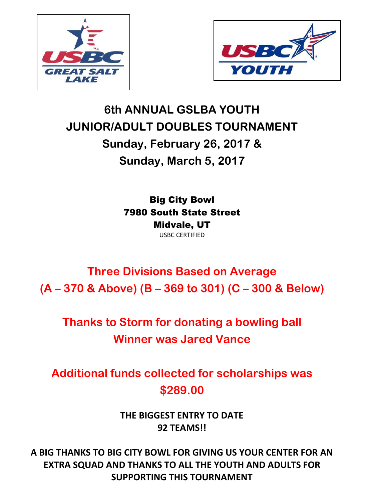



# **6th ANNUAL GSLBA YOUTH JUNIOR/ADULT DOUBLES TOURNAMENT Sunday, February 26, 2017 & Sunday, March 5, 2017**

Big City Bowl 7980 South State Street Midvale, UT USBC CERTIFIED

**Three Divisions Based on Average (A – 370 & Above) (B – 369 to 301) (C – 300 & Below)**

**Thanks to Storm for donating a bowling ball Winner was Jared Vance**

**Additional funds collected for scholarships was \$289.00**

> **THE BIGGEST ENTRY TO DATE 92 TEAMS!!**

**A BIG THANKS TO BIG CITY BOWL FOR GIVING US YOUR CENTER FOR AN EXTRA SQUAD AND THANKS TO ALL THE YOUTH AND ADULTS FOR SUPPORTING THIS TOURNAMENT**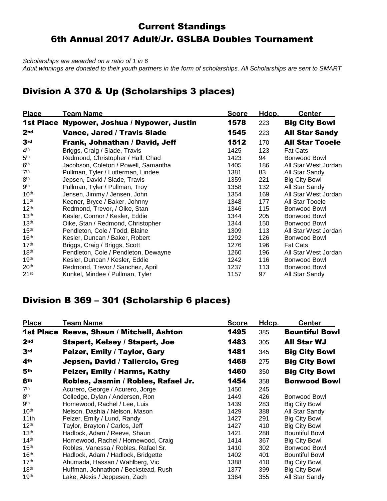## Current Standings 6th Annual 2017 Adult/Jr. GSLBA Doubles Tournament

*Scholarships are awarded on a ratio of 1 in 6*

*Adult winnings are donated to their youth partners in the form of scholarships. All Scholarships are sent to SMART*

## Division A 370 & Up (Scholarships 3 places)

| <b>Place</b>     | <u>Team Name</u>                            | <b>Score</b> | Hdcp. | <b>Center</b>          |
|------------------|---------------------------------------------|--------------|-------|------------------------|
|                  | 1st Place Nypower, Joshua / Nypower, Justin | 1578         | 223   | <b>Big City Bowl</b>   |
| 2 <sub>nd</sub>  | Vance, Jared / Travis Slade                 | 1545         | 223   | <b>All Star Sandy</b>  |
| 3rd              | Frank, Johnathan / David, Jeff              | 1512         | 170   | <b>All Star Tooele</b> |
| 4 <sup>th</sup>  | Briggs, Craig / Slade, Travis               | 1425         | 123   | <b>Fat Cats</b>        |
| 5 <sup>th</sup>  | Redmond, Christopher / Hall, Chad           | 1423         | 94    | Bonwood Bowl           |
| 6 <sup>th</sup>  | Jacobson, Coleton / Powell, Samantha        | 1405         | 186   | All Star West Jordan   |
| 7 <sup>th</sup>  | Pullman, Tyler / Lutterman, Lindee          | 1381         | 83    | All Star Sandy         |
| 8 <sup>th</sup>  | Jepsen, David / Slade, Travis               | 1359         | 221   | <b>Big City Bowl</b>   |
| 9 <sup>th</sup>  | Pullman, Tyler / Pullman, Troy              | 1358         | 132   | All Star Sandy         |
| 10 <sup>th</sup> | Jensen, Jimmy / Jensen, John                | 1354         | 169   | All Star West Jordan   |
| 11 <sup>th</sup> | Keener, Bryce / Baker, Johnny               | 1348         | 177   | All Star Tooele        |
| 12 <sup>th</sup> | Redmond, Trevor, / Oike, Stan               | 1346         | 115   | Bonwood Bowl           |
| 13 <sup>th</sup> | Kesler, Connor / Kesler, Eddie              | 1344         | 205   | <b>Bonwood Bowl</b>    |
| 13 <sup>th</sup> | Oike, Stan / Redmond, Christopher           | 1344         | 150   | Bonwood Bowl           |
| 15 <sup>th</sup> | Pendleton, Cole / Todd, Blaine              | 1309         | 113   | All Star West Jordan   |
| 16 <sup>th</sup> | Kesler, Duncan / Baker, Robert              | 1292         | 126   | Bonwood Bowl           |
| 17 <sup>th</sup> | Briggs, Craig / Briggs, Scott               | 1276         | 196   | <b>Fat Cats</b>        |
| 18 <sup>th</sup> | Pendleton, Cole / Pendleton, Dewayne        | 1260         | 196   | All Star West Jordan   |
| 19 <sup>th</sup> | Kesler, Duncan / Kesler, Eddie              | 1242         | 116   | <b>Bonwood Bowl</b>    |
| 20 <sup>th</sup> | Redmond, Trevor / Sanchez, April            | 1237         | 113   | Bonwood Bowl           |
| 21 <sup>st</sup> | Kunkel, Mindee / Pullman, Tyler             | 1157         | 97    | All Star Sandy         |

#### Division B 369 – 301 (Scholarship 6 places)

| <b>Place</b>     | <u>Team Name</u>                          | <b>Score</b> | Hdcp. | <b>Center</b>         |
|------------------|-------------------------------------------|--------------|-------|-----------------------|
|                  | 1st Place Reeve, Shaun / Mitchell, Ashton | 1495         | 385   | <b>Bountiful Bowl</b> |
| 2 <sub>nd</sub>  | <b>Stapert, Kelsey / Stapert, Joe</b>     | 1483         | 305   | <b>All Star WJ</b>    |
| 3 <sub>rd</sub>  | Pelzer, Emily / Taylor, Gary              | 1481         | 345   | <b>Big City Bowl</b>  |
| 4 <sup>th</sup>  | Jepsen, David / Taliercio, Greg           | 1468         | 275   | <b>Big City Bowl</b>  |
| 5 <sup>th</sup>  | Pelzer, Emily / Harms, Kathy              | 1460         | 350   | <b>Big City Bowl</b>  |
| 6th              | Robles, Jasmin / Robles, Rafael Jr.       | 1454         | 358   | <b>Bonwood Bowl</b>   |
| 7 <sup>th</sup>  | Acurero, George / Acurero, Jorge          | 1450         | 245   |                       |
| 8 <sup>th</sup>  | Colledge, Dylan / Andersen, Ron           | 1449         | 426   | Bonwood Bowl          |
| gth              | Homewood, Rachel / Lee, Luis              | 1439         | 283   | <b>Big City Bowl</b>  |
| 10 <sup>th</sup> | Nelson, Dashia / Nelson, Mason            | 1429         | 388   | All Star Sandy        |
| 11th             | Pelzer, Emily / Lund, Randy               | 1427         | 291   | <b>Big City Bowl</b>  |
| 12 <sup>th</sup> | Taylor, Brayton / Carlos, Jeff            | 1427         | 410   | <b>Big City Bowl</b>  |
| 13 <sup>th</sup> | Hadlock, Adam / Reeve, Shaun              | 1421         | 288   | <b>Bountiful Bowl</b> |
| 14 <sup>th</sup> | Homewood, Rachel / Homewood, Craig        | 1414         | 367   | <b>Big City Bowl</b>  |
| 15 <sup>th</sup> | Robles, Vanessa / Robles, Rafael Sr.      | 1410         | 302   | Bonwood Bowl          |
| 16 <sup>th</sup> | Hadlock, Adam / Hadlock, Bridgette        | 1402         | 401   | <b>Bountiful Bowl</b> |
| 17 <sup>th</sup> | Ahumada, Hassan / Wahlberg, Vic           | 1388         | 410   | <b>Big City Bowl</b>  |
| 18 <sup>th</sup> | Huffman, Johnathon / Beckstead, Rush      | 1377         | 399   | <b>Big City Bowl</b>  |
| 19 <sup>th</sup> | Lake, Alexis / Jeppesen, Zach             | 1364         | 355   | All Star Sandy        |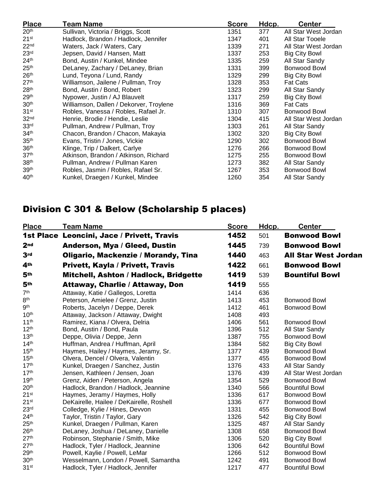| <b>Place</b>     | <u>Team Name</u>                        | <b>Score</b> | Hdcp. | <b>Center</b>        |
|------------------|-----------------------------------------|--------------|-------|----------------------|
| 20 <sup>th</sup> | Sullivan, Victoria / Briggs, Scott      | 1351         | 377   | All Star West Jordan |
| 21 <sup>st</sup> | Hadlock, Brandon / Hadlock, Jennifer    | 1347         | 401   | All Star Tooele      |
| 22 <sup>nd</sup> | Waters, Jack / Waters, Cary             | 1339         | 271   | All Star West Jordan |
| 23 <sup>rd</sup> | Jepsen, David / Hansen, Matt            | 1337         | 253   | <b>Big City Bowl</b> |
| 24 <sup>th</sup> | Bond, Austin / Kunkel, Mindee           | 1335         | 259   | All Star Sandy       |
| 25 <sup>th</sup> | DeLaney, Zachary / DeLaney, Brian       | 1331         | 399   | Bonwood Bowl         |
| 26 <sup>th</sup> | Lund, Teyona / Lund, Randy              | 1329         | 299   | <b>Big City Bowl</b> |
| 27 <sup>th</sup> | Williamson, Jailene / Pullman, Troy     | 1328         | 353   | <b>Fat Cats</b>      |
| 28 <sup>th</sup> | Bond, Austin / Bond, Robert             | 1323         | 299   | All Star Sandy       |
| 29th             | Nypower, Justin / AJ Blauvelt           | 1317         | 259   | <b>Big City Bowl</b> |
| 30 <sup>th</sup> | Williamson, Dallen / Dekorver, Troylene | 1316         | 369   | <b>Fat Cats</b>      |
| 31 <sup>st</sup> | Robles, Vanessa / Robles, Rafael Jr.    | 1310         | 307   | Bonwood Bowl         |
| 32 <sup>nd</sup> | Henrie, Brodie / Hendie, Leslie         | 1304         | 415   | All Star West Jordan |
| 33 <sup>rd</sup> | Pullman, Andrew / Pullman, Troy         | 1303         | 261   | All Star Sandy       |
| 34th             | Chacon, Brandon / Chacon, Makayia       | 1302         | 320   | <b>Big City Bowl</b> |
| 35 <sup>th</sup> | Evans, Tristin / Jones, Vickie          | 1290         | 302   | <b>Bonwood Bowl</b>  |
| 36 <sup>th</sup> | Klinge, Trip / Dalkert, Carlye          | 1276         | 266   | Bonwood Bowl         |
| 37 <sup>th</sup> | Atkinson, Brandon / Atkinson, Richard   | 1275         | 255   | Bonwood Bowl         |
| 38 <sup>th</sup> | Pullman, Andrew / Pullman Karen         | 1273         | 382   | All Star Sandy       |
| 39 <sup>th</sup> | Robles, Jasmin / Robles, Rafael Sr.     | 1267         | 353   | Bonwood Bowl         |
| 40 <sup>th</sup> | Kunkel, Draegen / Kunkel, Mindee        | 1260         | 354   | All Star Sandy       |

# Division C 301 & Below (Scholarship 5 places)

| <b>Place</b>     | <b>Team Name</b>                           | <b>Score</b> | Hdcp. | <b>Center</b>               |
|------------------|--------------------------------------------|--------------|-------|-----------------------------|
|                  | 1st Place Leoncini, Jace / Privett, Travis | 1452         | 501   | <b>Bonwood Bowl</b>         |
| 2 <sub>nd</sub>  | Anderson, Mya / Gleed, Dustin              | 1445         | 739   | <b>Bonwood Bowl</b>         |
| 3 <sub>rd</sub>  | Oligario, Mackenzie / Morandy, Tina        | 1440         | 463   | <b>All Star West Jordan</b> |
| 4 <sup>th</sup>  | <b>Privett, Kayla / Privett, Travis</b>    | 1422         | 661   | <b>Bonwood Bowl</b>         |
| 5 <sup>th</sup>  | Mitchell, Ashton / Hadlock, Bridgette      | 1419         | 539   | <b>Bountiful Bowl</b>       |
| 5th              | Attaway, Charlie / Attaway, Don            | 1419         | 555   |                             |
| 7 <sup>th</sup>  | Attaway, Katie / Gallegos, Loretta         | 1414         | 636   |                             |
| 8 <sup>th</sup>  | Peterson, Amielee / Grenz, Justin          | 1413         | 453   | <b>Bonwood Bowl</b>         |
| 9 <sup>th</sup>  | Roberts, Jacelyn / Deppe, Derek            | 1412         | 461   | <b>Bonwood Bowl</b>         |
| 10 <sup>th</sup> | Attaway, Jackson / Attaway, Dwight         | 1408         | 493   |                             |
| 11 <sup>th</sup> | Ramirez, Kiana / Olvera, Delria            | 1406         | 561   | Bonwood Bowl                |
| 12 <sup>th</sup> | Bond, Austin / Bond, Paula                 | 1396         | 512   | All Star Sandy              |
| 13 <sup>th</sup> | Deppe, Olivia / Deppe, Jenn                | 1387         | 755   | Bonwood Bowl                |
| 14 <sup>th</sup> | Huffman, Andrea / Huffman, April           | 1384         | 582   | <b>Big City Bowl</b>        |
| 15 <sup>th</sup> | Haymes, Hailey / Haymes, Jeramy, Sr.       | 1377         | 439   | Bonwood Bowl                |
| 15 <sup>th</sup> | Olvera, Dencel / Olvera, Valentin          | 1377         | 455   | <b>Bonwood Bowl</b>         |
| 17 <sup>th</sup> | Kunkel, Draegen / Sanchez, Justin          | 1376         | 433   | All Star Sandy              |
| 17 <sup>th</sup> | Jensen, Kathleen / Jensen, Joan            | 1376         | 439   | All Star West Jordan        |
| 19 <sup>th</sup> | Grenz, Aiden / Peterson, Angela            | 1354         | 529   | Bonwood Bowl                |
| 20 <sup>th</sup> | Hadlock, Brandon / Hadlock, Jeannine       | 1340         | 566   | <b>Bountiful Bowl</b>       |
| 21 <sup>st</sup> | Haymes, Jeramy / Haymes, Holly             | 1336         | 617   | Bonwood Bowl                |
| 21 <sup>st</sup> | DeKairelle, Hailee / DeKairelle, Roshell   | 1336         | 677   | Bonwood Bowl                |
| 23 <sup>rd</sup> | Colledge, Kylie / Hines, Devvon            | 1331         | 455   | <b>Bonwood Bowl</b>         |
| 24 <sup>th</sup> | Taylor, Tristin / Taylor, Gary             | 1326         | 542   | <b>Big City Bowl</b>        |
| 25 <sup>th</sup> | Kunkel, Draegen / Pullman, Karen           | 1325         | 487   | All Star Sandy              |
| 26 <sup>th</sup> | DeLaney, Joshua / DeLaney, Danielle        | 1308         | 658   | <b>Bonwood Bowl</b>         |
| 27 <sup>th</sup> | Robinson, Stephanie / Smith, Mike          | 1306         | 520   | <b>Big City Bowl</b>        |
| 27 <sup>th</sup> | Hadlock, Tyler / Hadlock, Jeannine         | 1306         | 642   | <b>Bountiful Bowl</b>       |
| 29th             | Powell, Kaylie / Powell, LeMar             | 1266         | 512   | <b>Bonwood Bowl</b>         |
| 30 <sup>th</sup> | Wesselmann, London / Powell, Samantha      | 1242         | 491   | <b>Bonwood Bowl</b>         |
| 31 <sup>st</sup> | Hadlock, Tyler / Hadlock, Jennifer         | 1217         | 477   | <b>Bountiful Bowl</b>       |